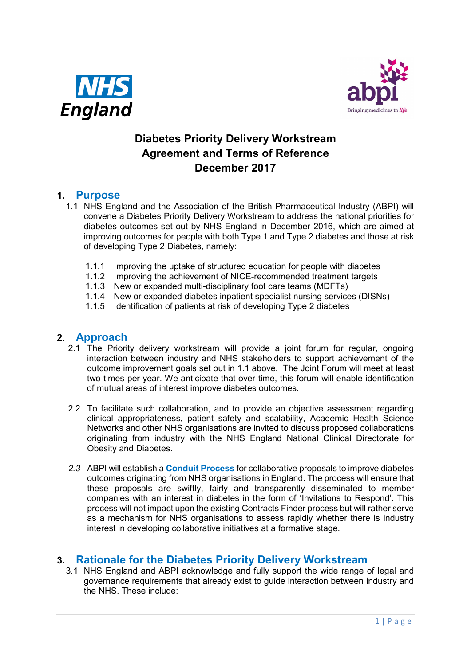



# **Diabetes Priority Delivery Workstream Agreement and Terms of Reference December 2017**

### **1. Purpose**

- 1.1 NHS England and the Association of the British Pharmaceutical Industry (ABPI) will convene a Diabetes Priority Delivery Workstream to address the national priorities for diabetes outcomes set out by NHS England in December 2016, which are aimed at improving outcomes for people with both Type 1 and Type 2 diabetes and those at risk of developing Type 2 Diabetes, namely:
	- 1.1.1 Improving the uptake of structured education for people with diabetes
	- 1.1.2 Improving the achievement of NICE-recommended treatment targets
	- 1.1.3 New or expanded multi-disciplinary foot care teams (MDFTs)
	- 1.1.4 New or expanded diabetes inpatient specialist nursing services (DISNs)
	- 1.1.5 Identification of patients at risk of developing Type 2 diabetes

#### **2. Approach**

- 2.1 The Priority delivery workstream will provide a joint forum for regular, ongoing interaction between industry and NHS stakeholders to support achievement of the outcome improvement goals set out in 1.1 above. The Joint Forum will meet at least two times per year. We anticipate that over time, this forum will enable identification of mutual areas of interest improve diabetes outcomes.
- 2.2 To facilitate such collaboration, and to provide an objective assessment regarding clinical appropriateness, patient safety and scalability, Academic Health Science Networks and other NHS organisations are invited to discuss proposed collaborations originating from industry with the NHS England National Clinical Directorate for Obesity and Diabetes.
- *2.3* ABPI will establish a **Conduit Process** for collaborative proposals to improve diabetes outcomes originating from NHS organisations in England. The process will ensure that these proposals are swiftly, fairly and transparently disseminated to member companies with an interest in diabetes in the form of 'Invitations to Respond'. This process will not impact upon the existing Contracts Finder process but will rather serve as a mechanism for NHS organisations to assess rapidly whether there is industry interest in developing collaborative initiatives at a formative stage.

### **3. Rationale for the Diabetes Priority Delivery Workstream**

3.1 NHS England and ABPI acknowledge and fully support the wide range of legal and governance requirements that already exist to guide interaction between industry and the NHS. These include: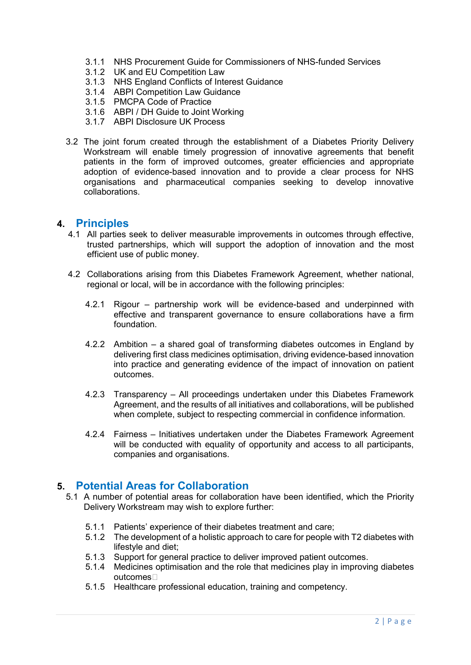- 3.1.1 NHS Procurement Guide for Commissioners of NHS-funded Services
- 3.1.2 UK and EU Competition Law
- 3.1.3 NHS England Conflicts of Interest Guidance
- 3.1.4 ABPI Competition Law Guidance
- 3.1.5 PMCPA Code of Practice
- 3.1.6 ABPI / DH Guide to Joint Working
- 3.1.7 ABPI Disclosure UK Process
- 3.2 The joint forum created through the establishment of a Diabetes Priority Delivery Workstream will enable timely progression of innovative agreements that benefit patients in the form of improved outcomes, greater efficiencies and appropriate adoption of evidence-based innovation and to provide a clear process for NHS organisations and pharmaceutical companies seeking to develop innovative collaborations.

### **4. Principles**

- 4.1 All parties seek to deliver measurable improvements in outcomes through effective, trusted partnerships, which will support the adoption of innovation and the most efficient use of public money.
- 4.2 Collaborations arising from this Diabetes Framework Agreement, whether national, regional or local, will be in accordance with the following principles:
	- 4.2.1 Rigour partnership work will be evidence-based and underpinned with effective and transparent governance to ensure collaborations have a firm foundation.
	- 4.2.2 Ambition a shared goal of transforming diabetes outcomes in England by delivering first class medicines optimisation, driving evidence-based innovation into practice and generating evidence of the impact of innovation on patient outcomes.
	- 4.2.3 Transparency All proceedings undertaken under this Diabetes Framework Agreement, and the results of all initiatives and collaborations, will be published when complete, subject to respecting commercial in confidence information.
	- 4.2.4 Fairness Initiatives undertaken under the Diabetes Framework Agreement will be conducted with equality of opportunity and access to all participants, companies and organisations.

### **5. Potential Areas for Collaboration**

- 5.1 A number of potential areas for collaboration have been identified, which the Priority Delivery Workstream may wish to explore further:
	- 5.1.1 Patients' experience of their diabetes treatment and care;
	- 5.1.2 The development of a holistic approach to care for people with T2 diabetes with lifestyle and diet;
	- 5.1.3 Support for general practice to deliver improved patient outcomes.<br>5.1.4 Medicines optimisation and the role that medicines play in improvir
	- 5.1.4 Medicines optimisation and the role that medicines play in improving diabetes  $outcomes$
	- 5.1.5 Healthcare professional education, training and competency.